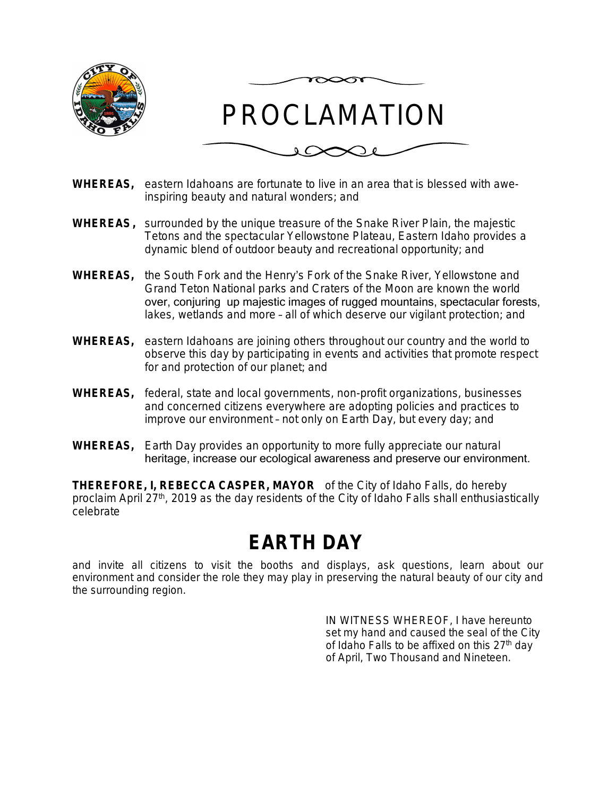



- **WHEREAS,** eastern Idahoans are fortunate to live in an area that is blessed with aweinspiring beauty and natural wonders; and
- **WHEREAS,** surrounded by the unique treasure of the Snake River Plain, the majestic Tetons and the spectacular Yellowstone Plateau, Eastern Idaho provides a dynamic blend of outdoor beauty and recreational opportunity; and
- **WHEREAS,** the South Fork and the Henry's Fork of the Snake River, Yellowstone and Grand Teton National parks and Craters of the Moon are known the world over, conjuring up majestic images of rugged mountains, spectacular forests, lakes, wetlands and more – all of which deserve our vigilant protection; and
- **WHEREAS,** eastern Idahoans are joining others throughout our country and the world to observe this day by participating in events and activities that promote respect for and protection of our planet; and
- **WHEREAS,** federal, state and local governments, non-profit organizations, businesses and concerned citizens everywhere are adopting policies and practices to improve our environment – not only on Earth Day, but every day; and
- **WHEREAS,** Earth Day provides an opportunity to more fully appreciate our natural heritage, increase our ecological awareness and preserve our environment.

**THEREFORE, I, REBECCA CASPER, MAYOR** of the City of Idaho Falls, do hereby proclaim April 27<sup>th</sup>, 2019 as the day residents of the City of Idaho Falls shall enthusiastically celebrate

## **EARTH DAY**

and invite all citizens to visit the booths and displays, ask questions, learn about our environment and consider the role they may play in preserving the natural beauty of our city and the surrounding region.

> IN WITNESS WHEREOF, I have hereunto set my hand and caused the seal of the City of Idaho Falls to be affixed on this 27<sup>th</sup> day of April, Two Thousand and Nineteen.